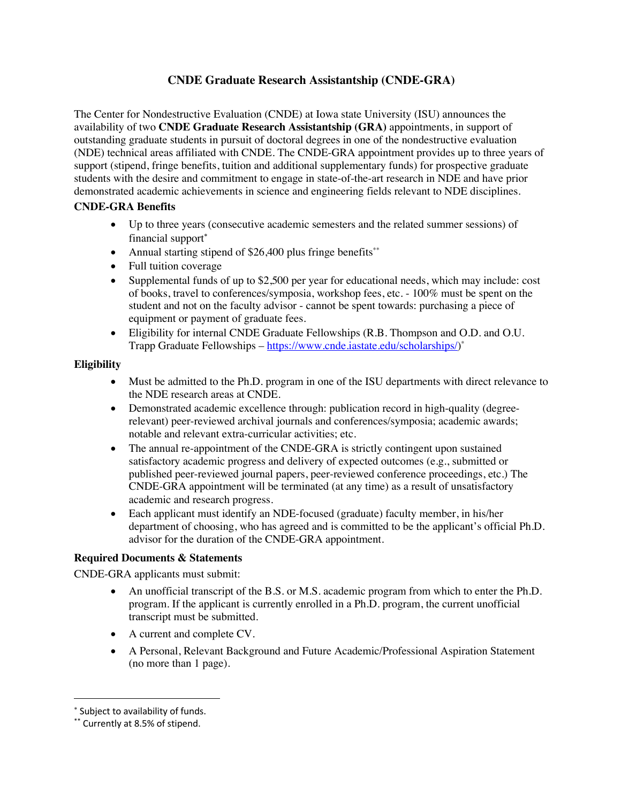# **CNDE Graduate Research Assistantship (CNDE-GRA)**

The Center for Nondestructive Evaluation (CNDE) at Iowa state University (ISU) announces the availability of two **CNDE Graduate Research Assistantship (GRA)** appointments, in support of outstanding graduate students in pursuit of doctoral degrees in one of the nondestructive evaluation (NDE) technical areas affiliated with CNDE. The CNDE-GRA appointment provides up to three years of support (stipend, fringe benefits, tuition and additional supplementary funds) for prospective graduate students with the desire and commitment to engage in state-of-the-art research in NDE and have prior demonstrated academic achievements in science and engineering fields relevant to NDE disciplines.

## **CNDE-GRA Benefits**

- Up to three years (consecutive academic semesters and the related summer sessions) of financial support\*
- Annual starting stipend of  $$26,400$  plus fringe benefits<sup>\*\*</sup>
- Full tuition coverage
- Supplemental funds of up to \$2,500 per year for educational needs, which may include: cost of books, travel to conferences/symposia, workshop fees, etc. - 100% must be spent on the student and not on the faculty advisor - cannot be spent towards: purchasing a piece of equipment or payment of graduate fees.
- Eligibility for internal CNDE Graduate Fellowships (R.B. Thompson and O.D. and O.U. Trapp Graduate Fellowships – https://www.cnde.iastate.edu/scholarships/)\*

## **Eligibility**

- Must be admitted to the Ph.D. program in one of the ISU departments with direct relevance to the NDE research areas at CNDE.
- Demonstrated academic excellence through: publication record in high-quality (degreerelevant) peer-reviewed archival journals and conferences/symposia; academic awards; notable and relevant extra-curricular activities; etc.
- The annual re-appointment of the CNDE-GRA is strictly contingent upon sustained satisfactory academic progress and delivery of expected outcomes (e.g., submitted or published peer-reviewed journal papers, peer-reviewed conference proceedings, etc.) The CNDE-GRA appointment will be terminated (at any time) as a result of unsatisfactory academic and research progress.
- Each applicant must identify an NDE-focused (graduate) faculty member, in his/her department of choosing, who has agreed and is committed to be the applicant's official Ph.D. advisor for the duration of the CNDE-GRA appointment.

## **Required Documents & Statements**

CNDE-GRA applicants must submit:

- An unofficial transcript of the B.S. or M.S. academic program from which to enter the Ph.D. program. If the applicant is currently enrolled in a Ph.D. program, the current unofficial transcript must be submitted.
- A current and complete CV.
- A Personal, Relevant Background and Future Academic/Professional Aspiration Statement (no more than 1 page).

<sup>\*</sup> Subject to availability of funds.

<sup>\*\*</sup> Currently at 8.5% of stipend.